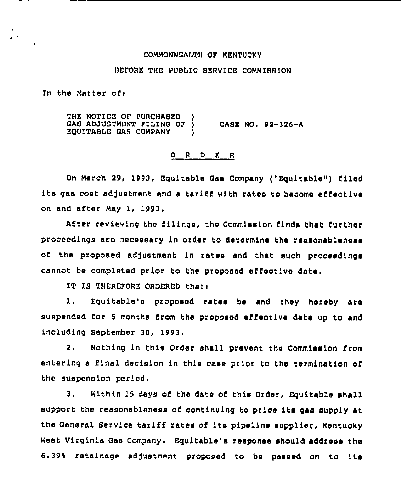## COMMONWEALTH OF KENTUCKY

## BEFORE THE PUBLIC SERVICE COMMISSION

In the Matter of:

 $\mathcal{E}$  .

THE NOTICE OF PURCHASED GAS ADJUSTMENT FILING OF  $\overline{\ }$  CASE NO. 92-326-A<br>EOUITABLE GAS COMPANY EOUITABLE GAS COMPANY )

## O R D E R

On March 29, 1993, Equitable Gas Company ("Equitable") filed its gas cost adjustment and a tariff with rates to become effective on and after May 1, 1993.

After reviewing the filings, the Commission finds that further proceedings are necessary in order to determine the reasonableness of the proposed adjustment in rates and that such proceedings cannot be completed prior to the proposed effective date,

IT IS THEREFORE ORDERED that:

l. Equitable's proposed rates be and they hereby are suspended for <sup>5</sup> months from the proposed effective date up to and including September 30, 1993.

2. Nothing in this Order shall prevent the Commission from entering a final decision in this case prior to the termination of the suspension period.

3. Within 15 days of the date of this Order, Equitable shall support the reasonableness of continuing to price its gas supply at the General Service tariff rates of its pipeline supplier, Kentucky west Virginia Gas Company. Equitable's response should address the  $6.39%$  retainage adjustment proposed to be passed on to its